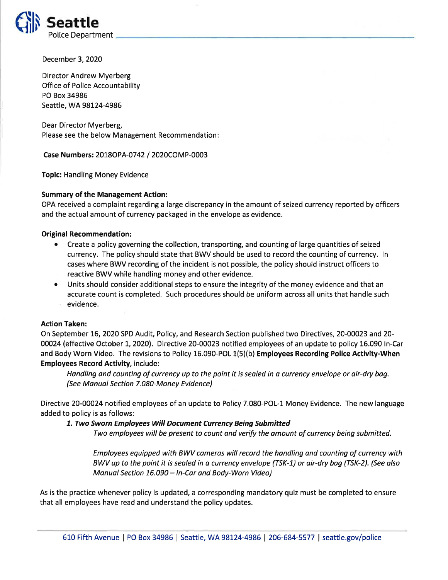

December 3,2O2O

Director Andrew Myerberg Office of Police Accountability PO Box 34986 Seattle, WA 98124-4986

Dear Director Myerberg, Please see the below Management Recommendation

Case Numbers: 2018OPA-0742 / 2020COMP-0003

Topic: Handling Money Evidence

## Summary of the Management Action:

OPA received a complaint regarding a large discrepancy in the amount of seized currency reported by officers and the actual amount of currency packaged in the envelope as evidence.

## Original Recommendation:

- Create a policy governing the collection, transporting, and counting of large quantities of seized currency. The policy should state that BWV should be used to record the counting of currency. ln cases where BWV recording of the incident is not possible, the policy should instruct officers to reactive BWV while handling money and other evidence.
- Units should consider additional steps to ensure the integrity of the money evidence and that an accurate count is completed. Such procedures should be uniform across all units that handle such evidence.

## Action Taken:

On September 76,2O2O SPD Audit, Policy, and Research Section published two Directives, 20-00023 and 20- 00024 (effective October 1, 2020). Directive 20-00023 notified employees of an update to policy 16.090 In-Car and Body Worn Video. The revisions to Policy 16.090-POL 1(5)(b) Employees Recording Police Activity-When Employees Record Activity, include:

- Handling and counting of currency up to the point it is sealed in a currency envelope or air-dry bag. (See Manual Section 7.080-Money Evidence)

Directive 2O-OO024 notified employees of an update to Policy 7.080-POL-1 Money Evidence. The new language added to policy is as follows:

7. Two Sworn Employees Will Document Currency Being Submitted

Two employees will be present to count and verify the amount of currency being submitted.

Employees equipped with BWV cameras will record the handling and counting of currency with BWV up to the point it is sealed in a currency envelope (TSK-1) or air-dry bag (TSK-2). (See also Manual Section 16.090 - In-Car and Body-Worn Video)

As is the practice whenever policy is updated, a corresponding mandatory quiz must be completed to ensure that all employees have read and understand the policy updates.